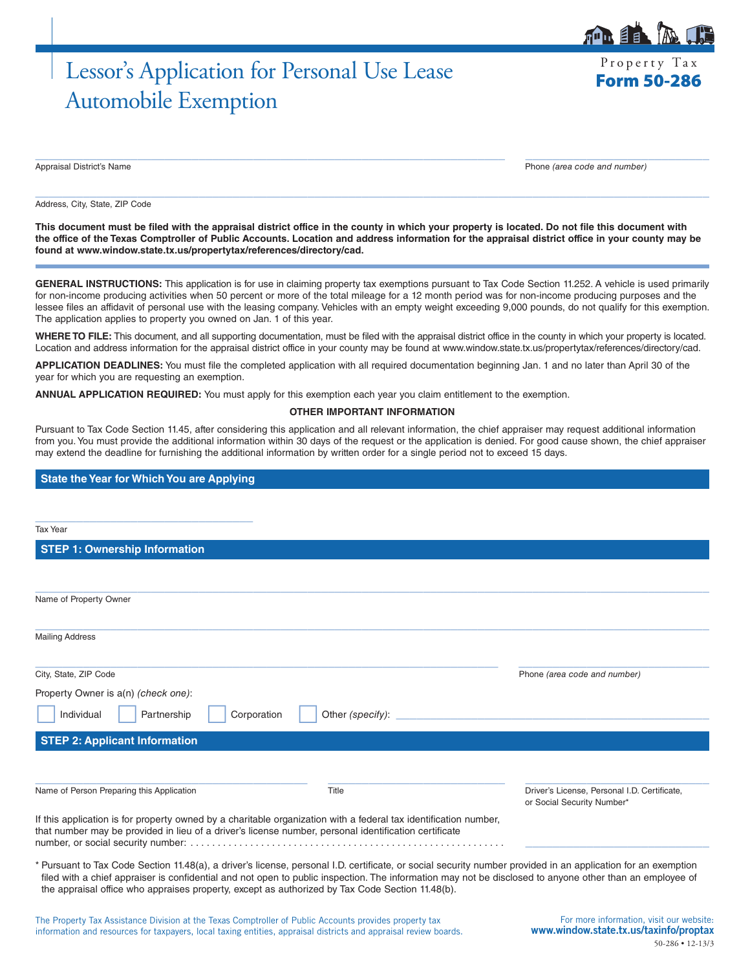# Lessor's Application for Personal Use Lease Form 50-286 Automobile Exemption

Property Tax

自目

Appraisal District's Name Phone *(area code and number)*

Address, City, State, ZIP Code

**This document must be filed with the appraisal district office in the county in which your property is located. Do not file this document with the office of the Texas Comptroller of Public Accounts. Location and address information for the appraisal district office in your county may be found at www.window.state.tx.us/propertytax/references/directory/cad.**

 $\_$  ,  $\_$  ,  $\_$  ,  $\_$  ,  $\_$  ,  $\_$  ,  $\_$  ,  $\_$  ,  $\_$  ,  $\_$  ,  $\_$  ,  $\_$  ,  $\_$  ,  $\_$  ,  $\_$  ,  $\_$  ,  $\_$  ,  $\_$  ,  $\_$  ,  $\_$  ,  $\_$  ,  $\_$  ,  $\_$  ,  $\_$  ,  $\_$  ,  $\_$  ,  $\_$  ,  $\_$  ,  $\_$  ,  $\_$  ,  $\_$  ,  $\_$  ,  $\_$  ,  $\_$  ,  $\_$  ,  $\_$  ,  $\_$  ,

 $\_$  , and the set of the set of the set of the set of the set of the set of the set of the set of the set of the set of the set of the set of the set of the set of the set of the set of the set of the set of the set of th

**GENERAL INSTRUCTIONS:** This application is for use in claiming property tax exemptions pursuant to Tax Code Section 11.252. A vehicle is used primarily for non-income producing activities when 50 percent or more of the total mileage for a 12 month period was for non-income producing purposes and the lessee files an affidavit of personal use with the leasing company. Vehicles with an empty weight exceeding 9,000 pounds, do not qualify for this exemption. The application applies to property you owned on Jan. 1 of this year.

WHERE TO FILE: This document, and all supporting documentation, must be filed with the appraisal district office in the county in which your property is located. Location and address information for the appraisal district office in your county may be found at www.window.state.tx.us/propertytax/references/directory/cad.

**APPLICATION DEADLINES:** You must file the completed application with all required documentation beginning Jan. 1 and no later than April 30 of the year for which you are requesting an exemption.

**ANNUAL APPLICATION REQUIRED:** You must apply for this exemption each year you claim entitlement to the exemption.

#### **OTHER IMPORTANT INFORMATION**

Pursuant to Tax Code Section 11.45, after considering this application and all relevant information, the chief appraiser may request additional information from you. You must provide the additional information within 30 days of the request or the application is denied. For good cause shown, the chief appraiser may extend the deadline for furnishing the additional information by written order for a single period not to exceed 15 days.

### **State the Year for Which You are Applying**

| <b>Tax Year</b>                                                                                                                                                                                                                                                                                                                                                                                                              |                                                                            |
|------------------------------------------------------------------------------------------------------------------------------------------------------------------------------------------------------------------------------------------------------------------------------------------------------------------------------------------------------------------------------------------------------------------------------|----------------------------------------------------------------------------|
| <b>STEP 1: Ownership Information</b>                                                                                                                                                                                                                                                                                                                                                                                         |                                                                            |
|                                                                                                                                                                                                                                                                                                                                                                                                                              |                                                                            |
| Name of Property Owner                                                                                                                                                                                                                                                                                                                                                                                                       |                                                                            |
| <b>Mailing Address</b>                                                                                                                                                                                                                                                                                                                                                                                                       |                                                                            |
| City, State, ZIP Code                                                                                                                                                                                                                                                                                                                                                                                                        | Phone (area code and number)                                               |
| Property Owner is a(n) (check one):                                                                                                                                                                                                                                                                                                                                                                                          |                                                                            |
| Individual<br>Partnership<br>Corporation<br>Other (specify):                                                                                                                                                                                                                                                                                                                                                                 |                                                                            |
| <b>STEP 2: Applicant Information</b>                                                                                                                                                                                                                                                                                                                                                                                         |                                                                            |
|                                                                                                                                                                                                                                                                                                                                                                                                                              |                                                                            |
| Name of Person Preparing this Application<br>Title                                                                                                                                                                                                                                                                                                                                                                           | Driver's License, Personal I.D. Certificate,<br>or Social Security Number* |
| If this application is for property owned by a charitable organization with a federal tax identification number,<br>that number may be provided in lieu of a driver's license number, personal identification certificate                                                                                                                                                                                                    |                                                                            |
| * Pursuant to Tax Code Section 11.48(a), a driver's license, personal I.D. certificate, or social security number provided in an application for an exemption<br>filed with a chief appraiser is confidential and not open to public inspection. The information may not be disclosed to anyone other than an employee of<br>the appraisal office who appraises property, except as authorized by Tax Code Section 11.48(b). |                                                                            |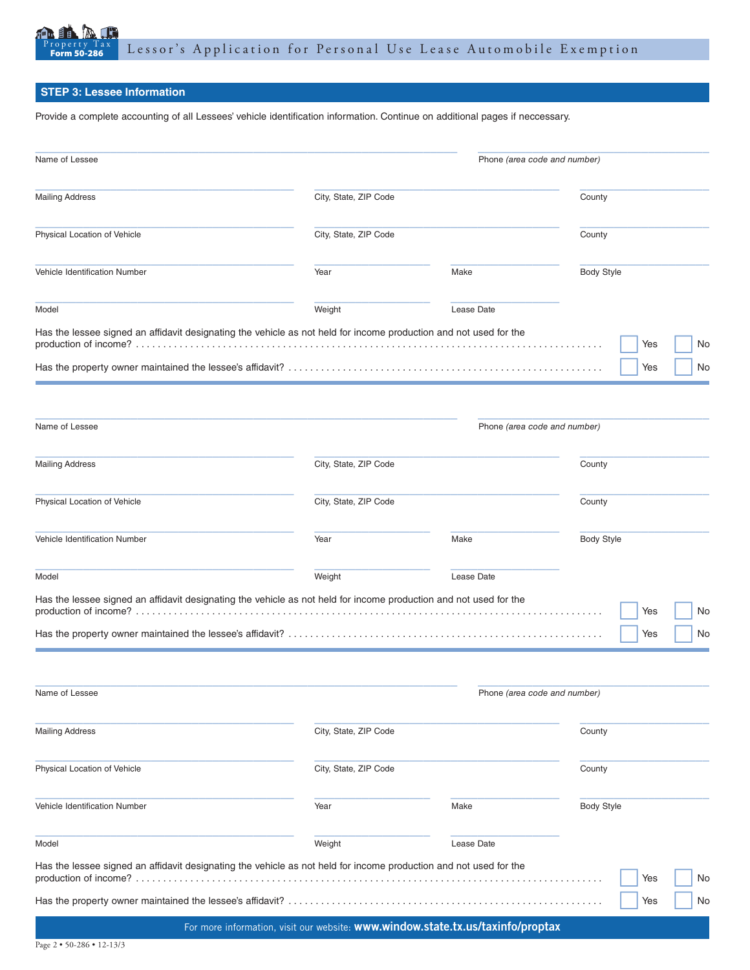

## **STEP 3: Lessee Information**

Provide a complete accounting of all Lessees' vehicle identification information. Continue on additional pages if neccessary.

| Name of Lessee                                                                                                    |                                                                                 |            | Phone (area code and number) |                   |    |  |  |
|-------------------------------------------------------------------------------------------------------------------|---------------------------------------------------------------------------------|------------|------------------------------|-------------------|----|--|--|
| <b>Mailing Address</b>                                                                                            | City, State, ZIP Code                                                           |            |                              | County            |    |  |  |
| Physical Location of Vehicle                                                                                      | City, State, ZIP Code                                                           |            |                              | County            |    |  |  |
| Vehicle Identification Number                                                                                     | Year                                                                            | Make       |                              | <b>Body Style</b> |    |  |  |
| Model                                                                                                             | Weight                                                                          | Lease Date |                              |                   |    |  |  |
| Has the lessee signed an affidavit designating the vehicle as not held for income production and not used for the |                                                                                 |            |                              | Yes               | No |  |  |
|                                                                                                                   |                                                                                 |            |                              | Yes               | No |  |  |
| Name of Lessee                                                                                                    |                                                                                 |            | Phone (area code and number) |                   |    |  |  |
| <b>Mailing Address</b>                                                                                            | City, State, ZIP Code                                                           |            |                              | County            |    |  |  |
| Physical Location of Vehicle                                                                                      | City, State, ZIP Code                                                           |            |                              | County            |    |  |  |
| Vehicle Identification Number                                                                                     | Year                                                                            | Make       |                              | <b>Body Style</b> |    |  |  |
| Model                                                                                                             | Weight                                                                          | Lease Date |                              |                   |    |  |  |
| Has the lessee signed an affidavit designating the vehicle as not held for income production and not used for the |                                                                                 |            |                              | Yes               | No |  |  |
|                                                                                                                   |                                                                                 |            |                              | Yes               | No |  |  |
| Name of Lessee                                                                                                    |                                                                                 |            | Phone (area code and number) |                   |    |  |  |
| <b>Mailing Address</b>                                                                                            | City, State, ZIP Code                                                           |            | County                       |                   |    |  |  |
| Physical Location of Vehicle                                                                                      | City, State, ZIP Code                                                           |            | County                       |                   |    |  |  |
| Vehicle Identification Number                                                                                     | Year                                                                            | Make       | <b>Body Style</b>            |                   |    |  |  |
| Model                                                                                                             | Weight                                                                          | Lease Date |                              |                   |    |  |  |
| Has the lessee signed an affidavit designating the vehicle as not held for income production and not used for the |                                                                                 |            |                              | Yes               | No |  |  |
|                                                                                                                   |                                                                                 |            |                              | Yes               | No |  |  |
|                                                                                                                   | For more information, visit our website: www.window.state.tx.us/taxinfo/proptax |            |                              |                   |    |  |  |